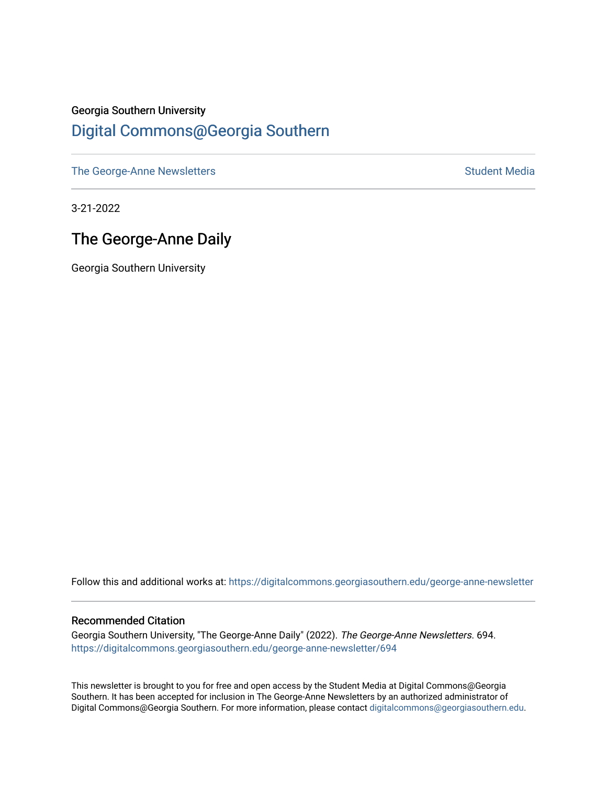### Georgia Southern University [Digital Commons@Georgia Southern](https://digitalcommons.georgiasouthern.edu/)

[The George-Anne Newsletters](https://digitalcommons.georgiasouthern.edu/george-anne-newsletter) **Student Media** Student Media

3-21-2022

### The George-Anne Daily

Georgia Southern University

Follow this and additional works at: [https://digitalcommons.georgiasouthern.edu/george-anne-newsletter](https://digitalcommons.georgiasouthern.edu/george-anne-newsletter?utm_source=digitalcommons.georgiasouthern.edu%2Fgeorge-anne-newsletter%2F694&utm_medium=PDF&utm_campaign=PDFCoverPages)

#### Recommended Citation

Georgia Southern University, "The George-Anne Daily" (2022). The George-Anne Newsletters. 694. [https://digitalcommons.georgiasouthern.edu/george-anne-newsletter/694](https://digitalcommons.georgiasouthern.edu/george-anne-newsletter/694?utm_source=digitalcommons.georgiasouthern.edu%2Fgeorge-anne-newsletter%2F694&utm_medium=PDF&utm_campaign=PDFCoverPages) 

This newsletter is brought to you for free and open access by the Student Media at Digital Commons@Georgia Southern. It has been accepted for inclusion in The George-Anne Newsletters by an authorized administrator of Digital Commons@Georgia Southern. For more information, please contact [digitalcommons@georgiasouthern.edu.](mailto:digitalcommons@georgiasouthern.edu)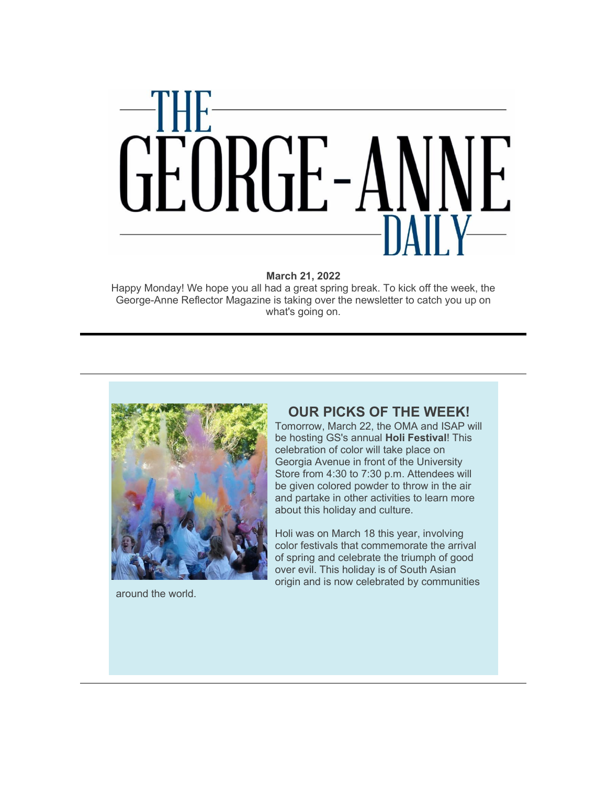

**March 21, 2022**

Happy Monday! We hope you all had a great spring break. To kick off the week, the George-Anne Reflector Magazine is taking over the newsletter to catch you up on what's going on.



around the world.

### **OUR PICKS OF THE WEEK!**

Tomorrow, March 22, the OMA and ISAP will be hosting GS's annual **Holi Festival**! This celebration of color will take place on Georgia Avenue in front of the University Store from 4:30 to 7:30 p.m. Attendees will be given colored powder to throw in the air and partake in other activities to learn more about this holiday and culture.

Holi was on March 18 this year, involving color festivals that commemorate the arrival of spring and celebrate the triumph of good over evil. This holiday is of South Asian origin and is now celebrated by communities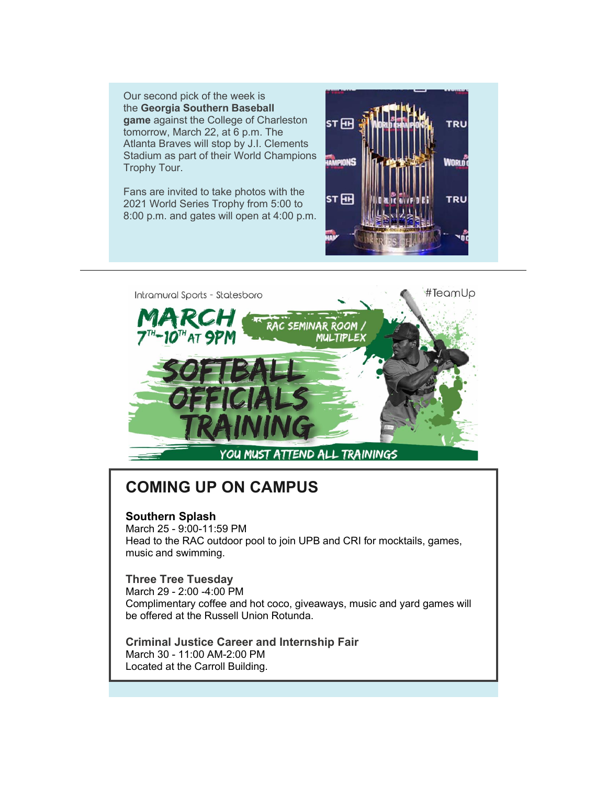Our second pick of the week is the **Georgia Southern Baseball game** against the College of Charleston tomorrow, March 22, at 6 p.m. The Atlanta Braves will stop by J.I. Clements Stadium as part of their World Champions Trophy Tour.

Fans are invited to take photos with the 2021 World Series Trophy from 5:00 to 8:00 p.m. and gates will open at 4:00 p.m.





## **COMING UP ON CAMPUS**

#### **Southern Splash**

March 25 - 9:00-11:59 PM Head to the RAC outdoor pool to join UPB and CRI for mocktails, games, music and swimming.

#### **Three Tree Tuesday**

March 29 - 2:00 -4:00 PM Complimentary coffee and hot coco, giveaways, music and yard games will be offered at the Russell Union Rotunda.

**Criminal Justice Career and Internship Fair** March 30 - 11:00 AM-2:00 PM Located at the Carroll Building.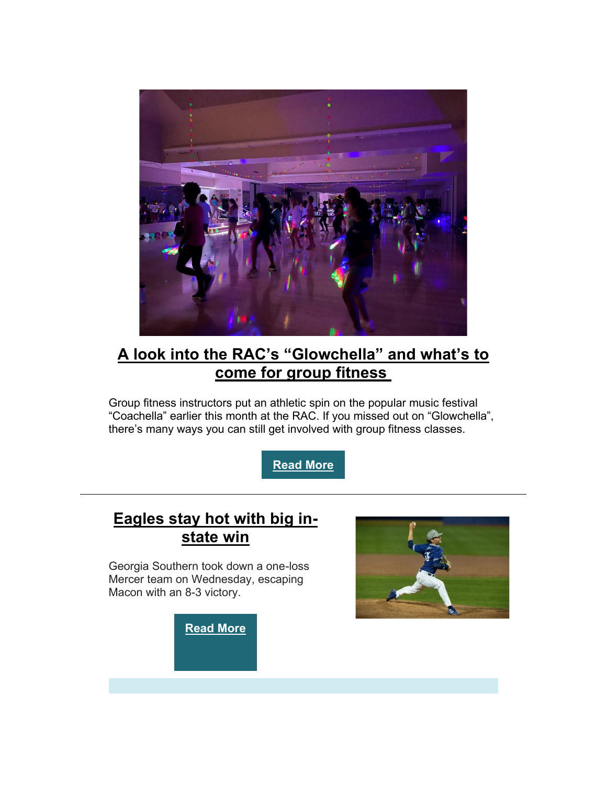

## **[A look into the RAC's "Glowchella" and what's to](https://r20.rs6.net/tn.jsp?f=001pP1dDBkl71CUTHTSqnMI6LwxAQRZawWvuVVH1hUX1vBk_oMMHrLkm3ytBzvyr0WKN0dy7N4BIe-_KTyURmAP5FihT1_wjJQdiFJOVB_bh6SVyyQ13ZpFTZz8uxDSWAwPNK-B9YotFnHFdzZV1Sy6MTrAGbVQzmnixWW_wk3RcFMa3M3BQLC0LijodGDOLNHAzMO34k3GoGW49vrnEerG5KZRRUEQrUEJe7VYn_SsEviwzUXqfiZMy1bbdd1k4FRO163Fm7rsV4s=&c=vA98a2-XfU-q-xaGJex_1Guqi59m2zxHKp1QrxNnt3ls_Y8-spmNfQ==&ch=MaEtzGRc_CJF8tBM5a9-AtffVF8qN-11-sX-af1jSBO4KbhoTOYAzg==)  [come for group fitness](https://r20.rs6.net/tn.jsp?f=001pP1dDBkl71CUTHTSqnMI6LwxAQRZawWvuVVH1hUX1vBk_oMMHrLkm3ytBzvyr0WKN0dy7N4BIe-_KTyURmAP5FihT1_wjJQdiFJOVB_bh6SVyyQ13ZpFTZz8uxDSWAwPNK-B9YotFnHFdzZV1Sy6MTrAGbVQzmnixWW_wk3RcFMa3M3BQLC0LijodGDOLNHAzMO34k3GoGW49vrnEerG5KZRRUEQrUEJe7VYn_SsEviwzUXqfiZMy1bbdd1k4FRO163Fm7rsV4s=&c=vA98a2-XfU-q-xaGJex_1Guqi59m2zxHKp1QrxNnt3ls_Y8-spmNfQ==&ch=MaEtzGRc_CJF8tBM5a9-AtffVF8qN-11-sX-af1jSBO4KbhoTOYAzg==)**

Group fitness instructors put an athletic spin on the popular music festival "Coachella" earlier this month at the RAC. If you missed out on "Glowchella", there's many ways you can still get involved with group fitness classes.

**[Read](https://r20.rs6.net/tn.jsp?f=001pP1dDBkl71CUTHTSqnMI6LwxAQRZawWvuVVH1hUX1vBk_oMMHrLkm3ytBzvyr0WKN0dy7N4BIe-_KTyURmAP5FihT1_wjJQdiFJOVB_bh6SVyyQ13ZpFTZz8uxDSWAwPNK-B9YotFnHFdzZV1Sy6MTrAGbVQzmnixWW_wk3RcFMa3M3BQLC0LijodGDOLNHAzMO34k3GoGW49vrnEerG5KZRRUEQrUEJe7VYn_SsEviwzUXqfiZMy1bbdd1k4FRO163Fm7rsV4s=&c=vA98a2-XfU-q-xaGJex_1Guqi59m2zxHKp1QrxNnt3ls_Y8-spmNfQ==&ch=MaEtzGRc_CJF8tBM5a9-AtffVF8qN-11-sX-af1jSBO4KbhoTOYAzg==) More**

### **[Eagles stay hot with big in](https://r20.rs6.net/tn.jsp?f=001pP1dDBkl71CUTHTSqnMI6LwxAQRZawWvuVVH1hUX1vBk_oMMHrLkm3ytBzvyr0WKtbYJsTzjD-Rbe2oQj5zKBO7hdST_4vflA7vU_s5e7pNklBLgBNXJ-M8-espaHH9HcvqdHFYsxXFB7wXoDL_o9ijFHkIjORI4foW8BSJv9GagEf1BW4ZUnol5QAfLzjdy_am1R_-J1_-UQDPwqA1V-Yvl2vxJL6uR_9SMThV8KvdcqhM989tnQw==&c=vA98a2-XfU-q-xaGJex_1Guqi59m2zxHKp1QrxNnt3ls_Y8-spmNfQ==&ch=MaEtzGRc_CJF8tBM5a9-AtffVF8qN-11-sX-af1jSBO4KbhoTOYAzg==)[state win](https://r20.rs6.net/tn.jsp?f=001pP1dDBkl71CUTHTSqnMI6LwxAQRZawWvuVVH1hUX1vBk_oMMHrLkm3ytBzvyr0WKtbYJsTzjD-Rbe2oQj5zKBO7hdST_4vflA7vU_s5e7pNklBLgBNXJ-M8-espaHH9HcvqdHFYsxXFB7wXoDL_o9ijFHkIjORI4foW8BSJv9GagEf1BW4ZUnol5QAfLzjdy_am1R_-J1_-UQDPwqA1V-Yvl2vxJL6uR_9SMThV8KvdcqhM989tnQw==&c=vA98a2-XfU-q-xaGJex_1Guqi59m2zxHKp1QrxNnt3ls_Y8-spmNfQ==&ch=MaEtzGRc_CJF8tBM5a9-AtffVF8qN-11-sX-af1jSBO4KbhoTOYAzg==)**

Georgia Southern took down a one-loss Mercer team on Wednesday, escaping Macon with an 8-3 victory.

**[Read More](https://r20.rs6.net/tn.jsp?f=001pP1dDBkl71CUTHTSqnMI6LwxAQRZawWvuVVH1hUX1vBk_oMMHrLkm3ytBzvyr0WKtbYJsTzjD-Rbe2oQj5zKBO7hdST_4vflA7vU_s5e7pNklBLgBNXJ-M8-espaHH9HcvqdHFYsxXFB7wXoDL_o9ijFHkIjORI4foW8BSJv9GagEf1BW4ZUnol5QAfLzjdy_am1R_-J1_-UQDPwqA1V-Yvl2vxJL6uR_9SMThV8KvdcqhM989tnQw==&c=vA98a2-XfU-q-xaGJex_1Guqi59m2zxHKp1QrxNnt3ls_Y8-spmNfQ==&ch=MaEtzGRc_CJF8tBM5a9-AtffVF8qN-11-sX-af1jSBO4KbhoTOYAzg==)**